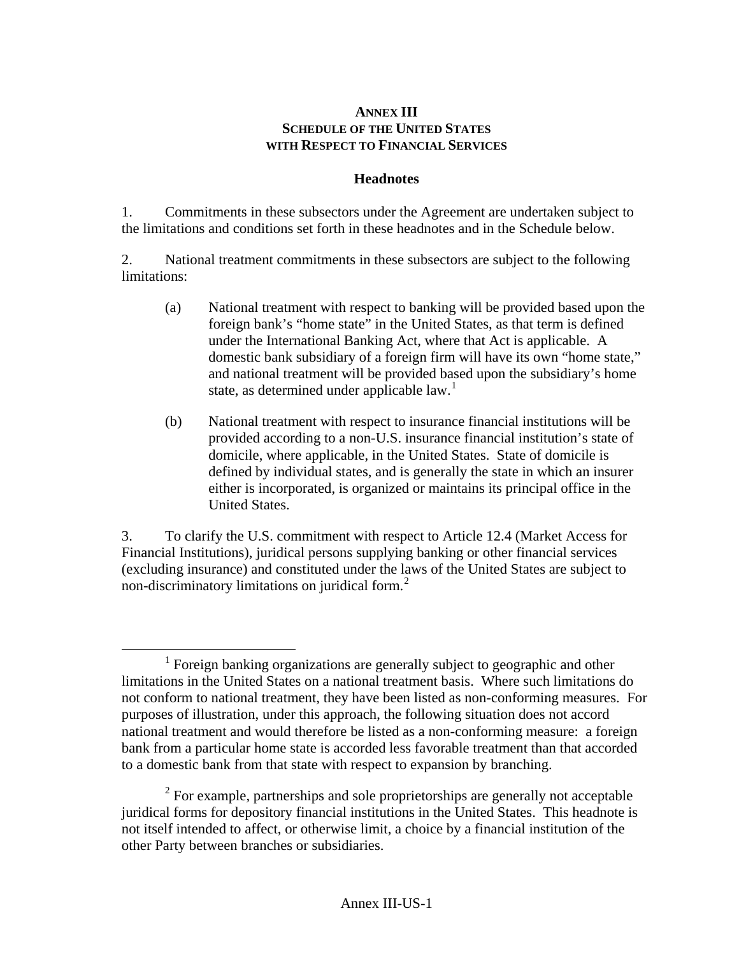## **ANNEX III SCHEDULE OF THE UNITED STATES WITH RESPECT TO FINANCIAL SERVICES**

## **Headnotes**

1. Commitments in these subsectors under the Agreement are undertaken subject to the limitations and conditions set forth in these headnotes and in the Schedule below.

2. National treatment commitments in these subsectors are subject to the following limitations:

- (a) National treatment with respect to banking will be provided based upon the foreign bank's "home state" in the United States, as that term is defined under the International Banking Act, where that Act is applicable. A domestic bank subsidiary of a foreign firm will have its own "home state," and national treatment will be provided based upon the subsidiary's home state, as determined under applicable  $law<sup>1</sup>$  $law<sup>1</sup>$  $law<sup>1</sup>$ .
- (b) National treatment with respect to insurance financial institutions will be provided according to a non-U.S. insurance financial institution's state of domicile, where applicable, in the United States. State of domicile is defined by individual states, and is generally the state in which an insurer either is incorporated, is organized or maintains its principal office in the United States.

3. To clarify the U.S. commitment with respect to Article 12.4 (Market Access for Financial Institutions), juridical persons supplying banking or other financial services (excluding insurance) and constituted under the laws of the United States are subject to non-discriminatory limitations on juridical form.<sup>[2](#page-0-1)</sup>

<span id="page-0-0"></span> $\overline{1}$  $<sup>1</sup>$  Foreign banking organizations are generally subject to geographic and other</sup> limitations in the United States on a national treatment basis. Where such limitations do not conform to national treatment, they have been listed as non-conforming measures. For purposes of illustration, under this approach, the following situation does not accord national treatment and would therefore be listed as a non-conforming measure: a foreign bank from a particular home state is accorded less favorable treatment than that accorded to a domestic bank from that state with respect to expansion by branching.

<span id="page-0-1"></span> $2^2$  For example, partnerships and sole proprietorships are generally not acceptable juridical forms for depository financial institutions in the United States. This headnote is not itself intended to affect, or otherwise limit, a choice by a financial institution of the other Party between branches or subsidiaries.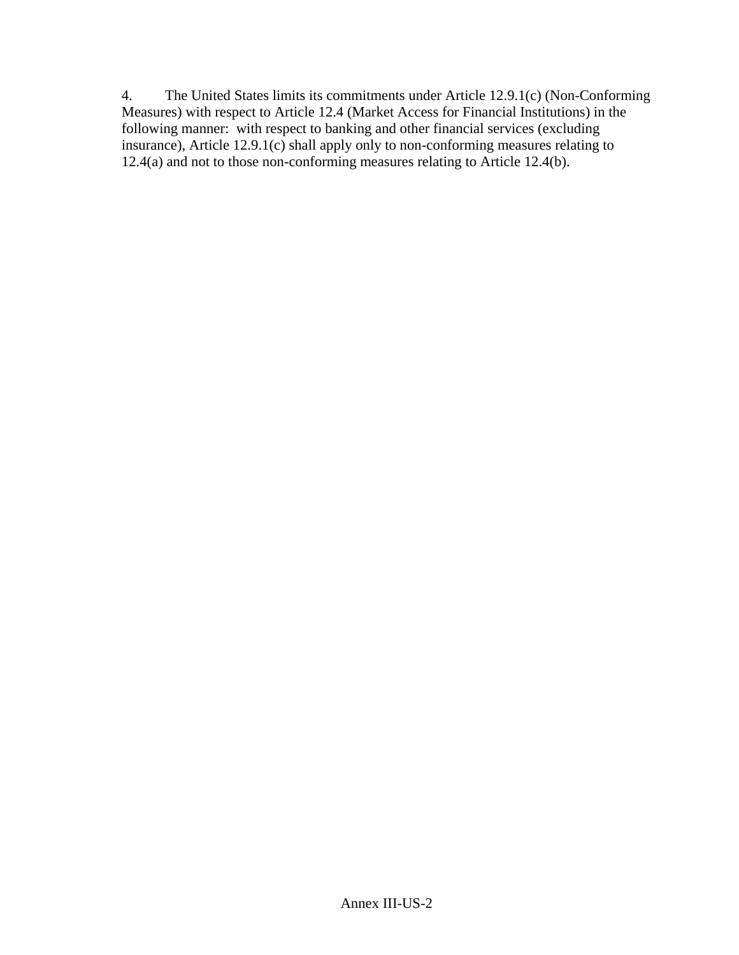4. The United States limits its commitments under Article 12.9.1(c) (Non-Conforming Measures) with respect to Article 12.4 (Market Access for Financial Institutions) in the following manner: with respect to banking and other financial services (excluding insurance), Article 12.9.1(c) shall apply only to non-conforming measures relating to 12.4(a) and not to those non-conforming measures relating to Article 12.4(b).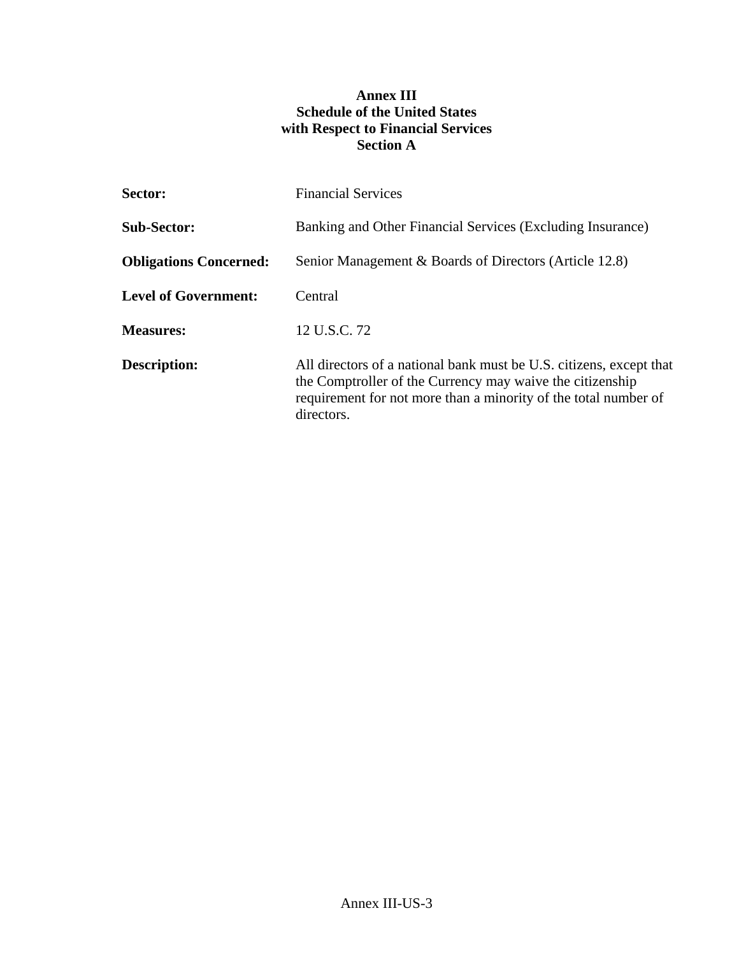## **Annex III Schedule of the United States with Respect to Financial Services Section A**

| <b>Sector:</b>                | <b>Financial Services</b>                                                                                                                                                                                         |
|-------------------------------|-------------------------------------------------------------------------------------------------------------------------------------------------------------------------------------------------------------------|
| <b>Sub-Sector:</b>            | Banking and Other Financial Services (Excluding Insurance)                                                                                                                                                        |
| <b>Obligations Concerned:</b> | Senior Management & Boards of Directors (Article 12.8)                                                                                                                                                            |
| <b>Level of Government:</b>   | Central                                                                                                                                                                                                           |
| <b>Measures:</b>              | 12 U.S.C. 72                                                                                                                                                                                                      |
| <b>Description:</b>           | All directors of a national bank must be U.S. citizens, except that<br>the Comptroller of the Currency may waive the citizenship<br>requirement for not more than a minority of the total number of<br>directors. |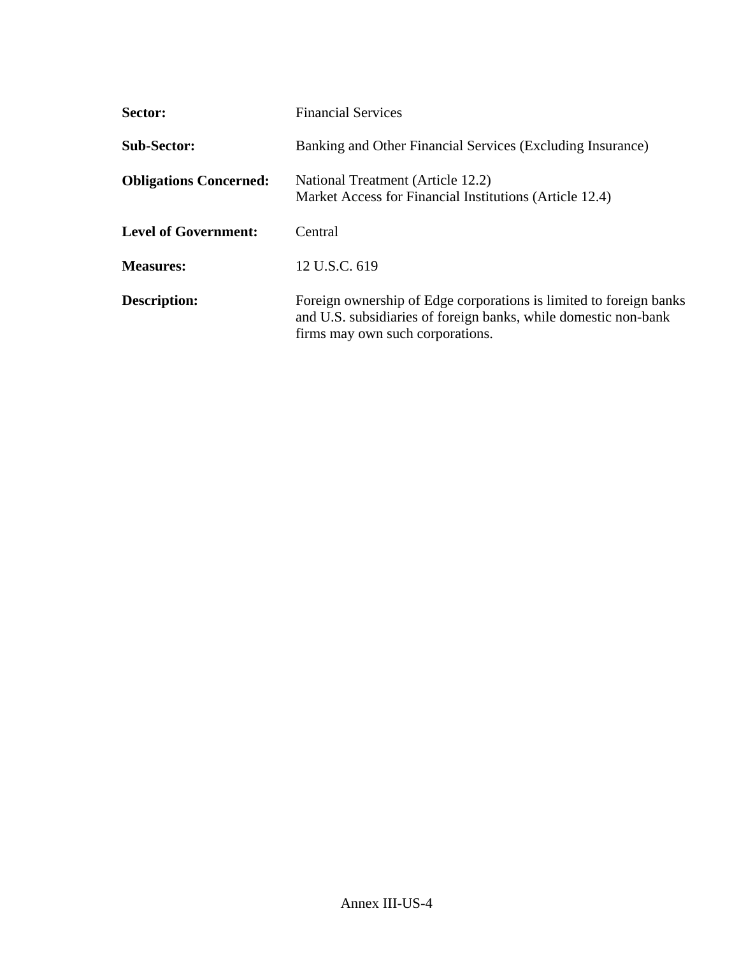| Sector:                       | <b>Financial Services</b>                                                                                                                                                 |
|-------------------------------|---------------------------------------------------------------------------------------------------------------------------------------------------------------------------|
| <b>Sub-Sector:</b>            | Banking and Other Financial Services (Excluding Insurance)                                                                                                                |
| <b>Obligations Concerned:</b> | National Treatment (Article 12.2)<br>Market Access for Financial Institutions (Article 12.4)                                                                              |
| <b>Level of Government:</b>   | Central                                                                                                                                                                   |
| <b>Measures:</b>              | 12 U.S.C. 619                                                                                                                                                             |
| Description:                  | Foreign ownership of Edge corporations is limited to foreign banks<br>and U.S. subsidiaries of foreign banks, while domestic non-bank<br>firms may own such corporations. |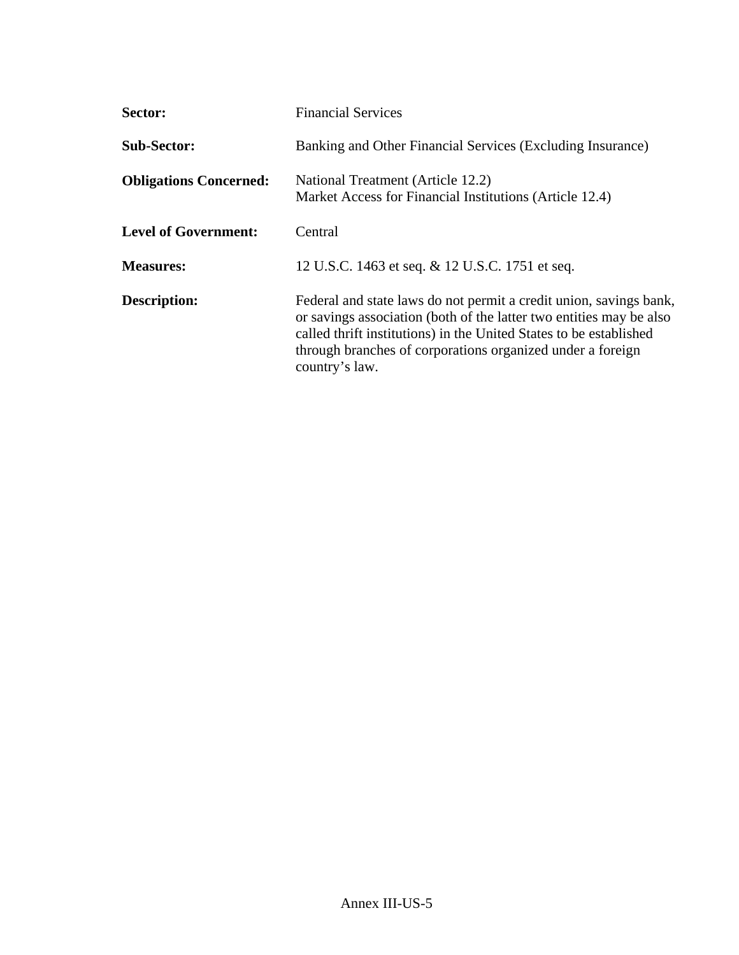| Sector:                       | <b>Financial Services</b>                                                                                                                                                                                                                                                                       |
|-------------------------------|-------------------------------------------------------------------------------------------------------------------------------------------------------------------------------------------------------------------------------------------------------------------------------------------------|
| <b>Sub-Sector:</b>            | Banking and Other Financial Services (Excluding Insurance)                                                                                                                                                                                                                                      |
| <b>Obligations Concerned:</b> | National Treatment (Article 12.2)<br>Market Access for Financial Institutions (Article 12.4)                                                                                                                                                                                                    |
| <b>Level of Government:</b>   | Central                                                                                                                                                                                                                                                                                         |
| <b>Measures:</b>              | 12 U.S.C. 1463 et seq. & 12 U.S.C. 1751 et seq.                                                                                                                                                                                                                                                 |
| <b>Description:</b>           | Federal and state laws do not permit a credit union, savings bank,<br>or savings association (both of the latter two entities may be also<br>called thrift institutions) in the United States to be established<br>through branches of corporations organized under a foreign<br>country's law. |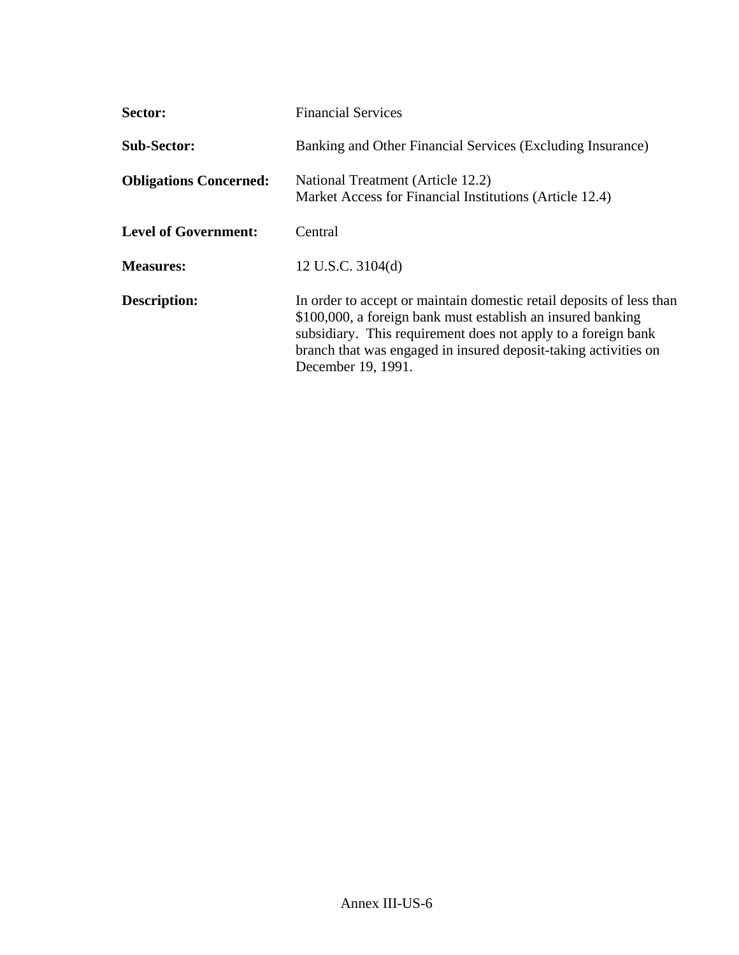| Sector:                       | <b>Financial Services</b>                                                                                                                                                                                                                                                                     |
|-------------------------------|-----------------------------------------------------------------------------------------------------------------------------------------------------------------------------------------------------------------------------------------------------------------------------------------------|
| <b>Sub-Sector:</b>            | Banking and Other Financial Services (Excluding Insurance)                                                                                                                                                                                                                                    |
| <b>Obligations Concerned:</b> | National Treatment (Article 12.2)<br>Market Access for Financial Institutions (Article 12.4)                                                                                                                                                                                                  |
| <b>Level of Government:</b>   | Central                                                                                                                                                                                                                                                                                       |
| <b>Measures:</b>              | 12 U.S.C. 3104(d)                                                                                                                                                                                                                                                                             |
| <b>Description:</b>           | In order to accept or maintain domestic retail deposits of less than<br>\$100,000, a foreign bank must establish an insured banking<br>subsidiary. This requirement does not apply to a foreign bank<br>branch that was engaged in insured deposit-taking activities on<br>December 19, 1991. |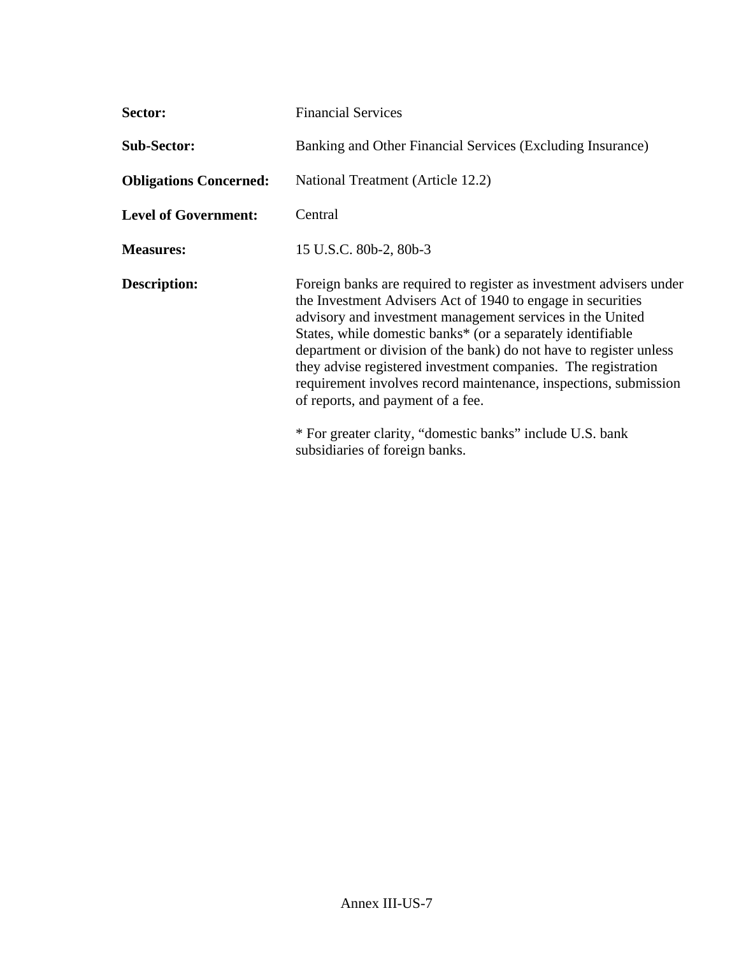| <b>Sector:</b>                | <b>Financial Services</b>                                                                                                                                                                                                                                                                                                                                                                                                                                                                                                                                                                                     |
|-------------------------------|---------------------------------------------------------------------------------------------------------------------------------------------------------------------------------------------------------------------------------------------------------------------------------------------------------------------------------------------------------------------------------------------------------------------------------------------------------------------------------------------------------------------------------------------------------------------------------------------------------------|
| <b>Sub-Sector:</b>            | Banking and Other Financial Services (Excluding Insurance)                                                                                                                                                                                                                                                                                                                                                                                                                                                                                                                                                    |
| <b>Obligations Concerned:</b> | National Treatment (Article 12.2)                                                                                                                                                                                                                                                                                                                                                                                                                                                                                                                                                                             |
| <b>Level of Government:</b>   | Central                                                                                                                                                                                                                                                                                                                                                                                                                                                                                                                                                                                                       |
| <b>Measures:</b>              | 15 U.S.C. 80b-2, 80b-3                                                                                                                                                                                                                                                                                                                                                                                                                                                                                                                                                                                        |
| <b>Description:</b>           | Foreign banks are required to register as investment advisers under<br>the Investment Advisers Act of 1940 to engage in securities<br>advisory and investment management services in the United<br>States, while domestic banks* (or a separately identifiable<br>department or division of the bank) do not have to register unless<br>they advise registered investment companies. The registration<br>requirement involves record maintenance, inspections, submission<br>of reports, and payment of a fee.<br>* For greater clarity, "domestic banks" include U.S. bank<br>subsidiaries of foreign banks. |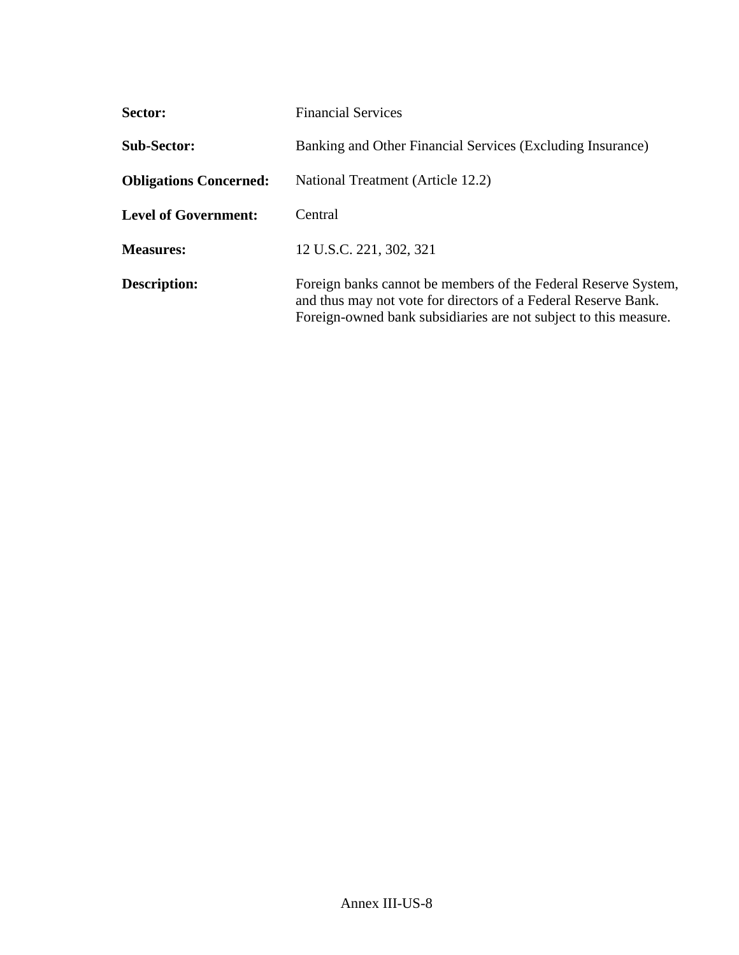| <b>Sector:</b>                | <b>Financial Services</b>                                                                                                                                                                            |
|-------------------------------|------------------------------------------------------------------------------------------------------------------------------------------------------------------------------------------------------|
| <b>Sub-Sector:</b>            | Banking and Other Financial Services (Excluding Insurance)                                                                                                                                           |
| <b>Obligations Concerned:</b> | National Treatment (Article 12.2)                                                                                                                                                                    |
| <b>Level of Government:</b>   | Central                                                                                                                                                                                              |
| <b>Measures:</b>              | 12 U.S.C. 221, 302, 321                                                                                                                                                                              |
| <b>Description:</b>           | Foreign banks cannot be members of the Federal Reserve System,<br>and thus may not vote for directors of a Federal Reserve Bank.<br>Foreign-owned bank subsidiaries are not subject to this measure. |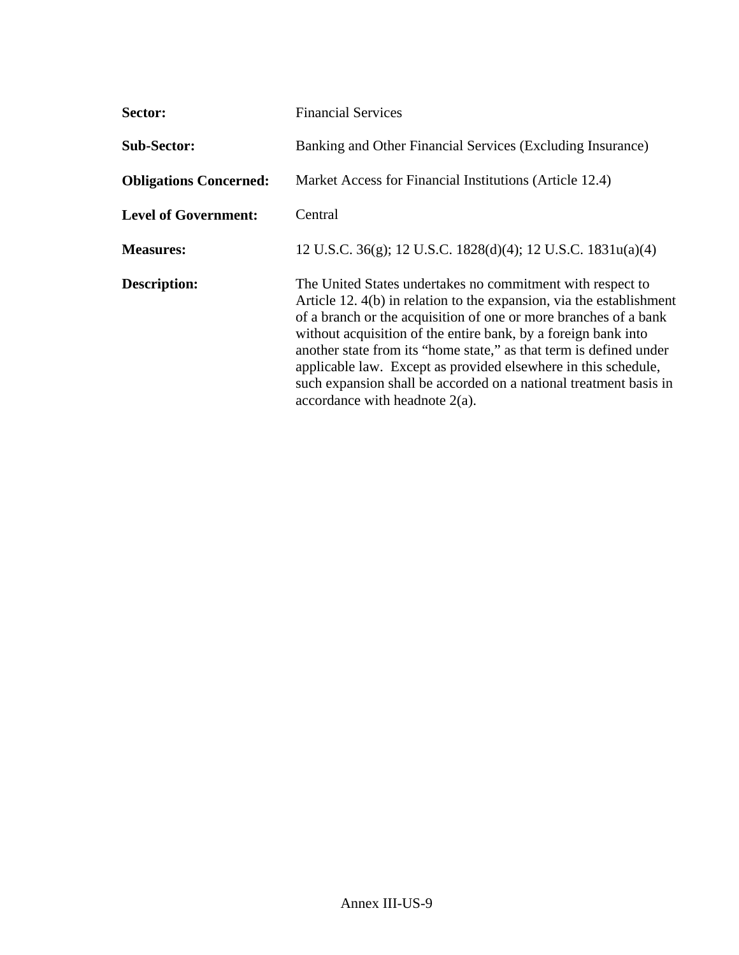| <b>Sector:</b>                | <b>Financial Services</b>                                                                                                                                                                                                                                                                                                                                                                                                                                                                                                  |
|-------------------------------|----------------------------------------------------------------------------------------------------------------------------------------------------------------------------------------------------------------------------------------------------------------------------------------------------------------------------------------------------------------------------------------------------------------------------------------------------------------------------------------------------------------------------|
| <b>Sub-Sector:</b>            | Banking and Other Financial Services (Excluding Insurance)                                                                                                                                                                                                                                                                                                                                                                                                                                                                 |
| <b>Obligations Concerned:</b> | Market Access for Financial Institutions (Article 12.4)                                                                                                                                                                                                                                                                                                                                                                                                                                                                    |
| <b>Level of Government:</b>   | Central                                                                                                                                                                                                                                                                                                                                                                                                                                                                                                                    |
| <b>Measures:</b>              | 12 U.S.C. 36(g); 12 U.S.C. 1828(d)(4); 12 U.S.C. 1831u(a)(4)                                                                                                                                                                                                                                                                                                                                                                                                                                                               |
| <b>Description:</b>           | The United States undertakes no commitment with respect to<br>Article 12. 4(b) in relation to the expansion, via the establishment<br>of a branch or the acquisition of one or more branches of a bank<br>without acquisition of the entire bank, by a foreign bank into<br>another state from its "home state," as that term is defined under<br>applicable law. Except as provided elsewhere in this schedule,<br>such expansion shall be accorded on a national treatment basis in<br>accordance with headnote $2(a)$ . |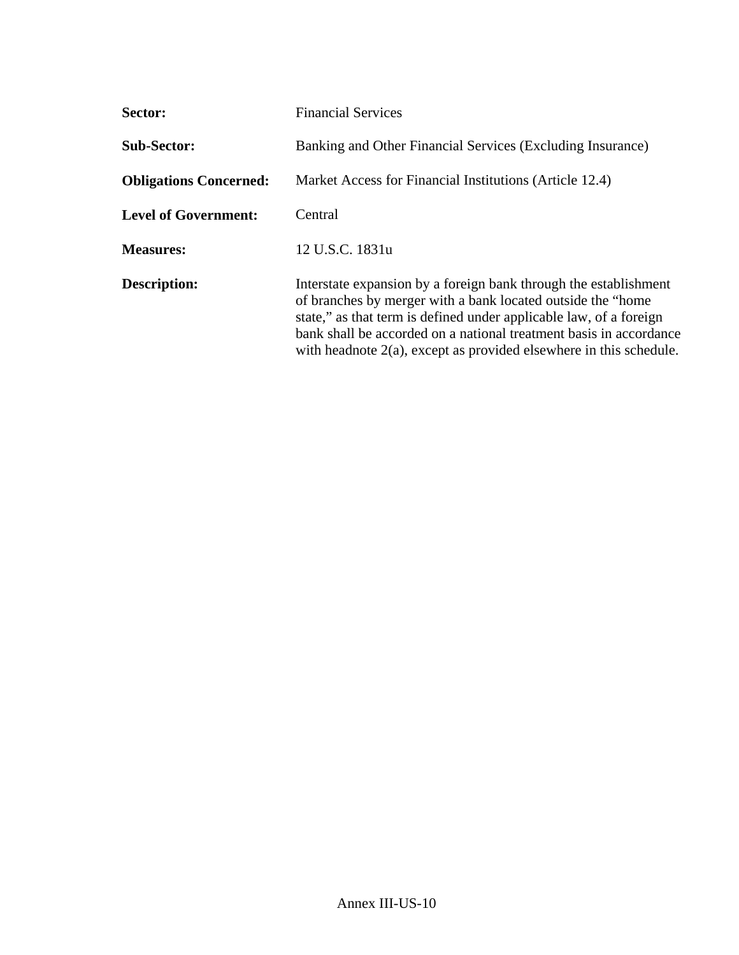| <b>Sector:</b>                | <b>Financial Services</b>                                                                                                                                                                                                                                                                                                                             |
|-------------------------------|-------------------------------------------------------------------------------------------------------------------------------------------------------------------------------------------------------------------------------------------------------------------------------------------------------------------------------------------------------|
| <b>Sub-Sector:</b>            | Banking and Other Financial Services (Excluding Insurance)                                                                                                                                                                                                                                                                                            |
| <b>Obligations Concerned:</b> | Market Access for Financial Institutions (Article 12.4)                                                                                                                                                                                                                                                                                               |
| <b>Level of Government:</b>   | Central                                                                                                                                                                                                                                                                                                                                               |
| <b>Measures:</b>              | 12 U.S.C. 1831u                                                                                                                                                                                                                                                                                                                                       |
| <b>Description:</b>           | Interstate expansion by a foreign bank through the establishment<br>of branches by merger with a bank located outside the "home"<br>state," as that term is defined under applicable law, of a foreign<br>bank shall be accorded on a national treatment basis in accordance<br>with headnote $2(a)$ , except as provided elsewhere in this schedule. |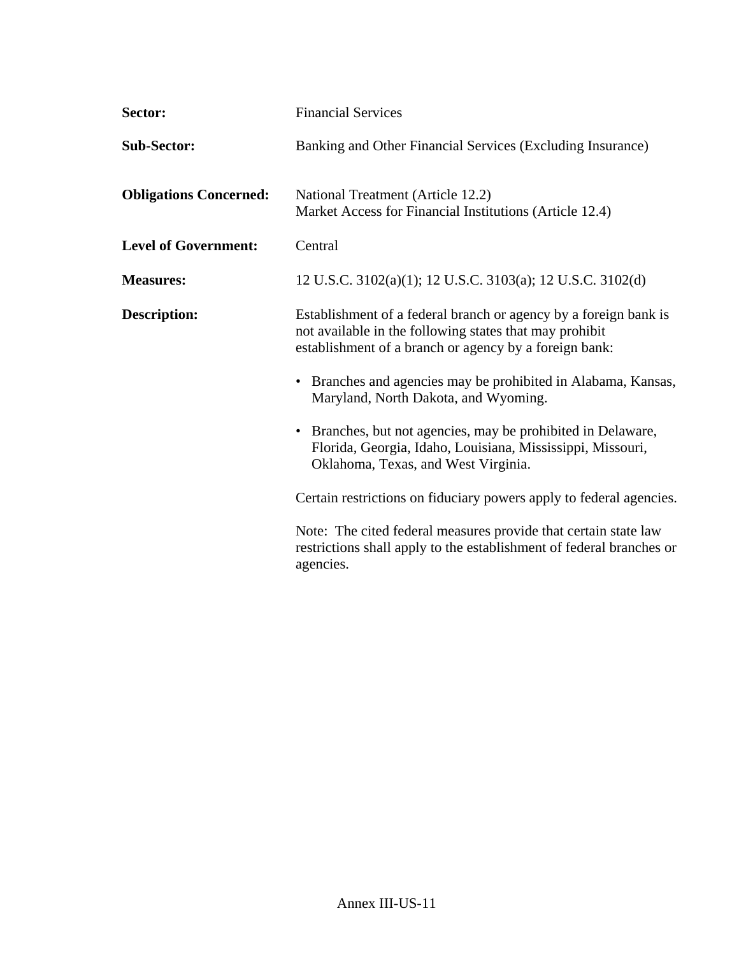| Sector:                       | <b>Financial Services</b>                                                                                                                                                             |
|-------------------------------|---------------------------------------------------------------------------------------------------------------------------------------------------------------------------------------|
| <b>Sub-Sector:</b>            | Banking and Other Financial Services (Excluding Insurance)                                                                                                                            |
| <b>Obligations Concerned:</b> | National Treatment (Article 12.2)<br>Market Access for Financial Institutions (Article 12.4)                                                                                          |
| <b>Level of Government:</b>   | Central                                                                                                                                                                               |
| <b>Measures:</b>              | 12 U.S.C. 3102(a)(1); 12 U.S.C. 3103(a); 12 U.S.C. 3102(d)                                                                                                                            |
| <b>Description:</b>           | Establishment of a federal branch or agency by a foreign bank is<br>not available in the following states that may prohibit<br>establishment of a branch or agency by a foreign bank: |
|                               | Branches and agencies may be prohibited in Alabama, Kansas,<br>Maryland, North Dakota, and Wyoming.                                                                                   |
|                               | Branches, but not agencies, may be prohibited in Delaware,<br>$\bullet$<br>Florida, Georgia, Idaho, Louisiana, Mississippi, Missouri,<br>Oklahoma, Texas, and West Virginia.          |
|                               | Certain restrictions on fiduciary powers apply to federal agencies.                                                                                                                   |
|                               | Note: The cited federal measures provide that certain state law<br>restrictions shall apply to the establishment of federal branches or<br>agencies.                                  |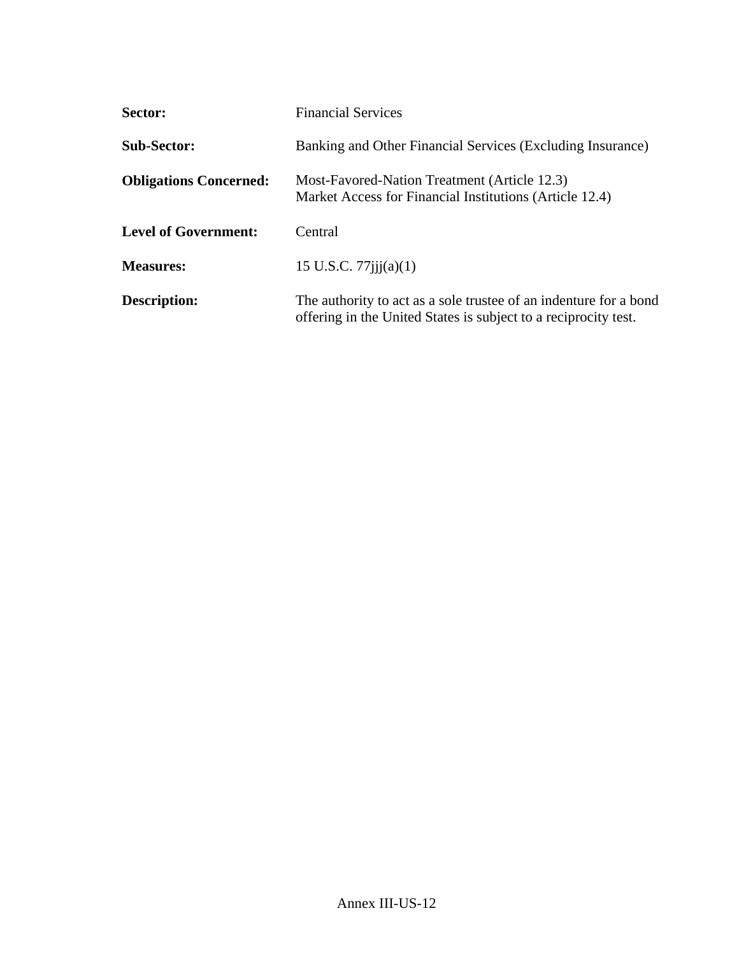| Sector:                       | <b>Financial Services</b>                                                                                                            |
|-------------------------------|--------------------------------------------------------------------------------------------------------------------------------------|
| <b>Sub-Sector:</b>            | Banking and Other Financial Services (Excluding Insurance)                                                                           |
| <b>Obligations Concerned:</b> | Most-Favored-Nation Treatment (Article 12.3)<br>Market Access for Financial Institutions (Article 12.4)                              |
| <b>Level of Government:</b>   | Central                                                                                                                              |
| <b>Measures:</b>              | 15 U.S.C. $77$ iji $(a)(1)$                                                                                                          |
| <b>Description:</b>           | The authority to act as a sole trustee of an indenture for a bond<br>offering in the United States is subject to a reciprocity test. |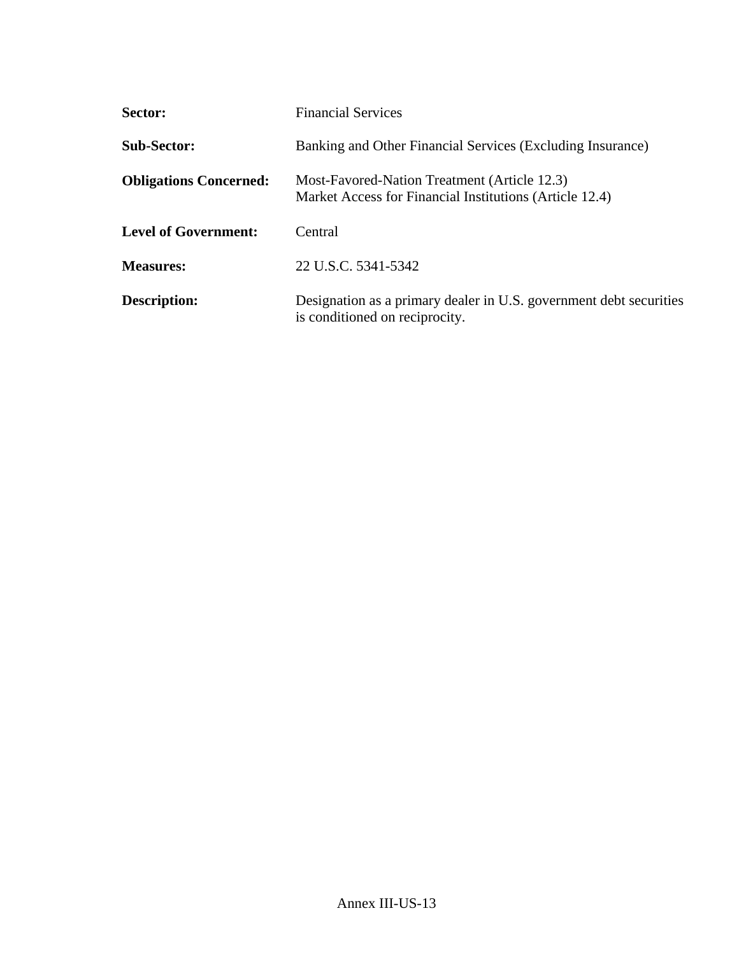| Sector:                       | <b>Financial Services</b>                                                                               |
|-------------------------------|---------------------------------------------------------------------------------------------------------|
| <b>Sub-Sector:</b>            | Banking and Other Financial Services (Excluding Insurance)                                              |
| <b>Obligations Concerned:</b> | Most-Favored-Nation Treatment (Article 12.3)<br>Market Access for Financial Institutions (Article 12.4) |
| <b>Level of Government:</b>   | Central                                                                                                 |
| <b>Measures:</b>              | 22 U.S.C. 5341-5342                                                                                     |
| <b>Description:</b>           | Designation as a primary dealer in U.S. government debt securities<br>is conditioned on reciprocity.    |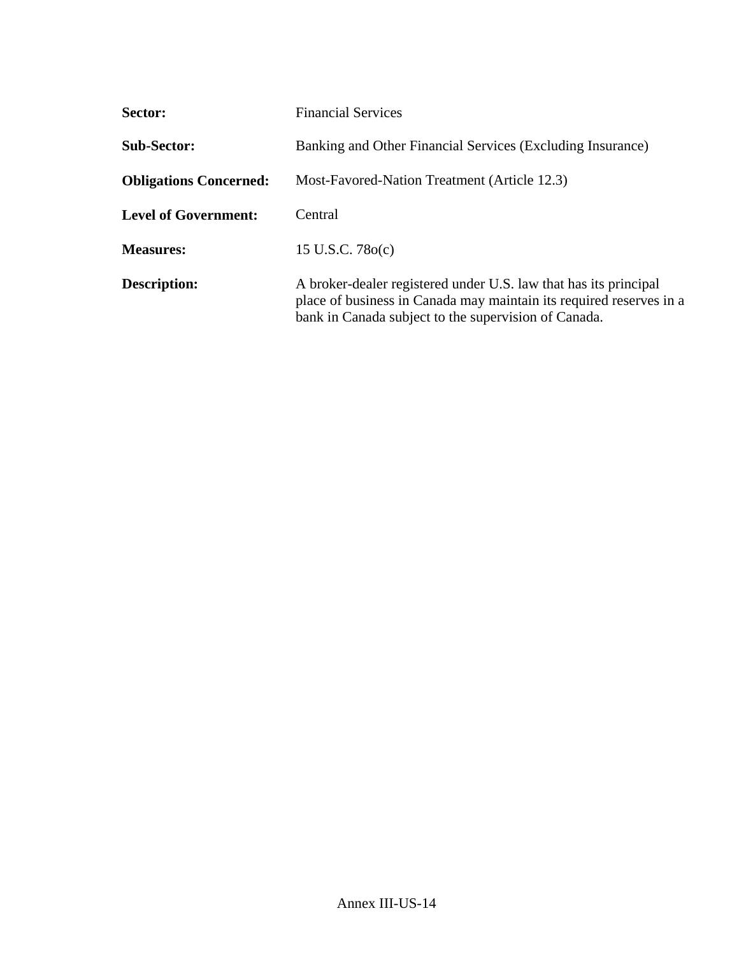| <b>Sector:</b>                | <b>Financial Services</b>                                                                                                                                                                       |
|-------------------------------|-------------------------------------------------------------------------------------------------------------------------------------------------------------------------------------------------|
| <b>Sub-Sector:</b>            | Banking and Other Financial Services (Excluding Insurance)                                                                                                                                      |
| <b>Obligations Concerned:</b> | Most-Favored-Nation Treatment (Article 12.3)                                                                                                                                                    |
| <b>Level of Government:</b>   | Central                                                                                                                                                                                         |
| <b>Measures:</b>              | 15 U.S.C. $78o(c)$                                                                                                                                                                              |
| <b>Description:</b>           | A broker-dealer registered under U.S. law that has its principal<br>place of business in Canada may maintain its required reserves in a<br>bank in Canada subject to the supervision of Canada. |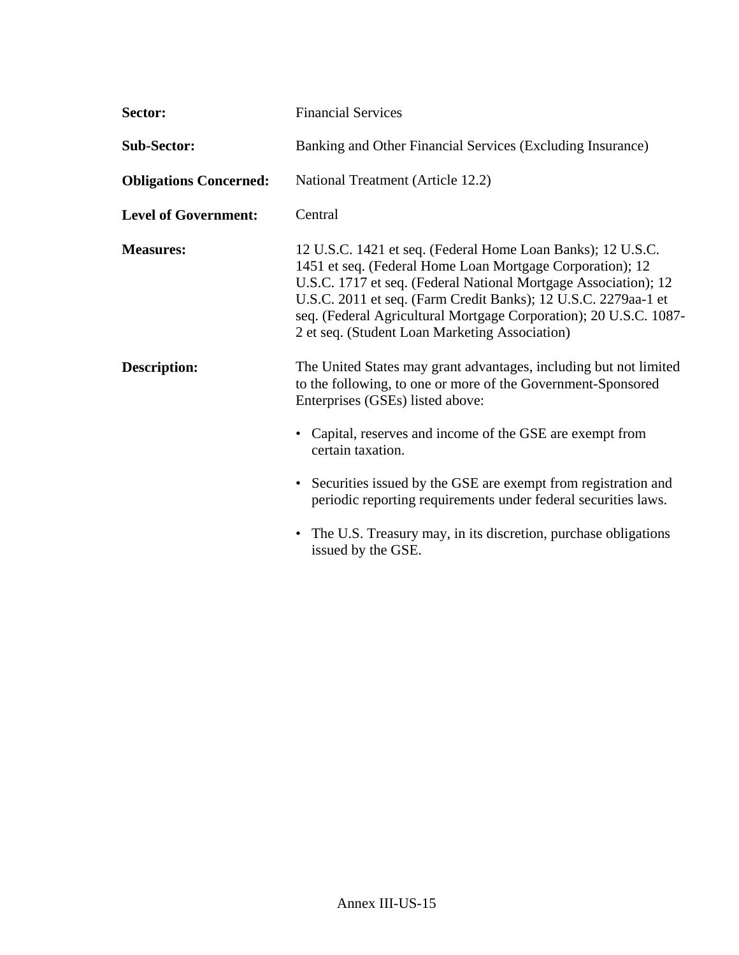| Sector:                       | <b>Financial Services</b>                                                                                                                                                                                                                                                                                                                                                            |
|-------------------------------|--------------------------------------------------------------------------------------------------------------------------------------------------------------------------------------------------------------------------------------------------------------------------------------------------------------------------------------------------------------------------------------|
| <b>Sub-Sector:</b>            | Banking and Other Financial Services (Excluding Insurance)                                                                                                                                                                                                                                                                                                                           |
| <b>Obligations Concerned:</b> | National Treatment (Article 12.2)                                                                                                                                                                                                                                                                                                                                                    |
| <b>Level of Government:</b>   | Central                                                                                                                                                                                                                                                                                                                                                                              |
| <b>Measures:</b>              | 12 U.S.C. 1421 et seq. (Federal Home Loan Banks); 12 U.S.C.<br>1451 et seq. (Federal Home Loan Mortgage Corporation); 12<br>U.S.C. 1717 et seq. (Federal National Mortgage Association); 12<br>U.S.C. 2011 et seq. (Farm Credit Banks); 12 U.S.C. 2279aa-1 et<br>seq. (Federal Agricultural Mortgage Corporation); 20 U.S.C. 1087-<br>2 et seq. (Student Loan Marketing Association) |
| <b>Description:</b>           | The United States may grant advantages, including but not limited<br>to the following, to one or more of the Government-Sponsored<br>Enterprises (GSEs) listed above:<br>• Capital, reserves and income of the GSE are exempt from<br>certain taxation.                                                                                                                              |
|                               | • Securities issued by the GSE are exempt from registration and<br>periodic reporting requirements under federal securities laws.                                                                                                                                                                                                                                                    |
|                               | • The U.S. Treasury may, in its discretion, purchase obligations<br>issued by the GSE.                                                                                                                                                                                                                                                                                               |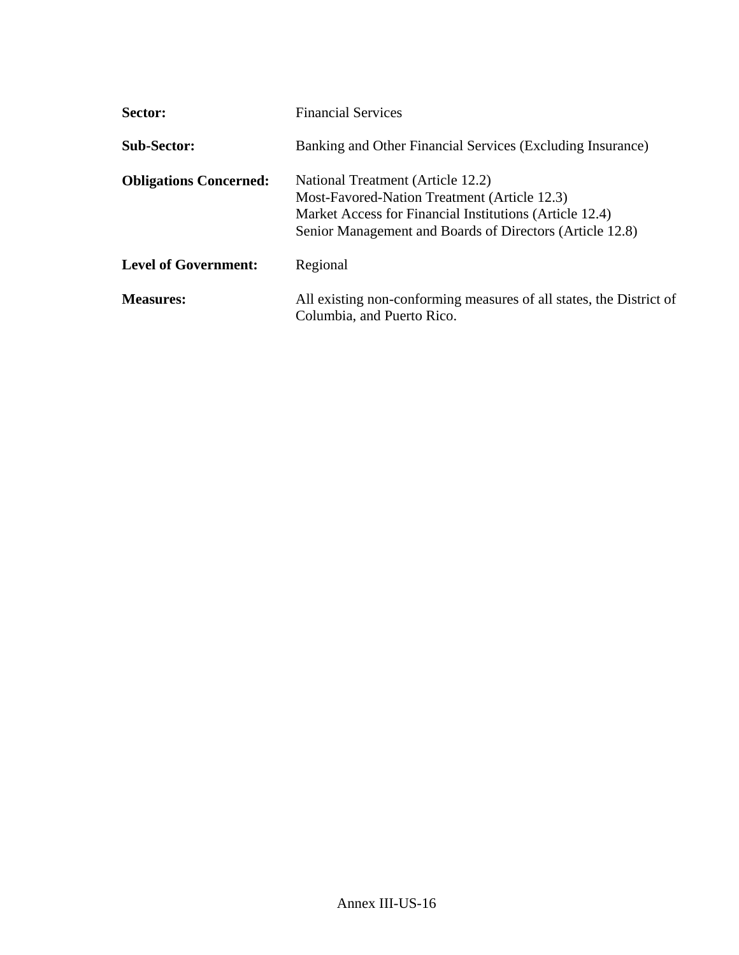| Sector:                       | <b>Financial Services</b>                                                                                                                                                                                |
|-------------------------------|----------------------------------------------------------------------------------------------------------------------------------------------------------------------------------------------------------|
| <b>Sub-Sector:</b>            | Banking and Other Financial Services (Excluding Insurance)                                                                                                                                               |
| <b>Obligations Concerned:</b> | National Treatment (Article 12.2)<br>Most-Favored-Nation Treatment (Article 12.3)<br>Market Access for Financial Institutions (Article 12.4)<br>Senior Management and Boards of Directors (Article 12.8) |
| <b>Level of Government:</b>   | Regional                                                                                                                                                                                                 |
| <b>Measures:</b>              | All existing non-conforming measures of all states, the District of<br>Columbia, and Puerto Rico.                                                                                                        |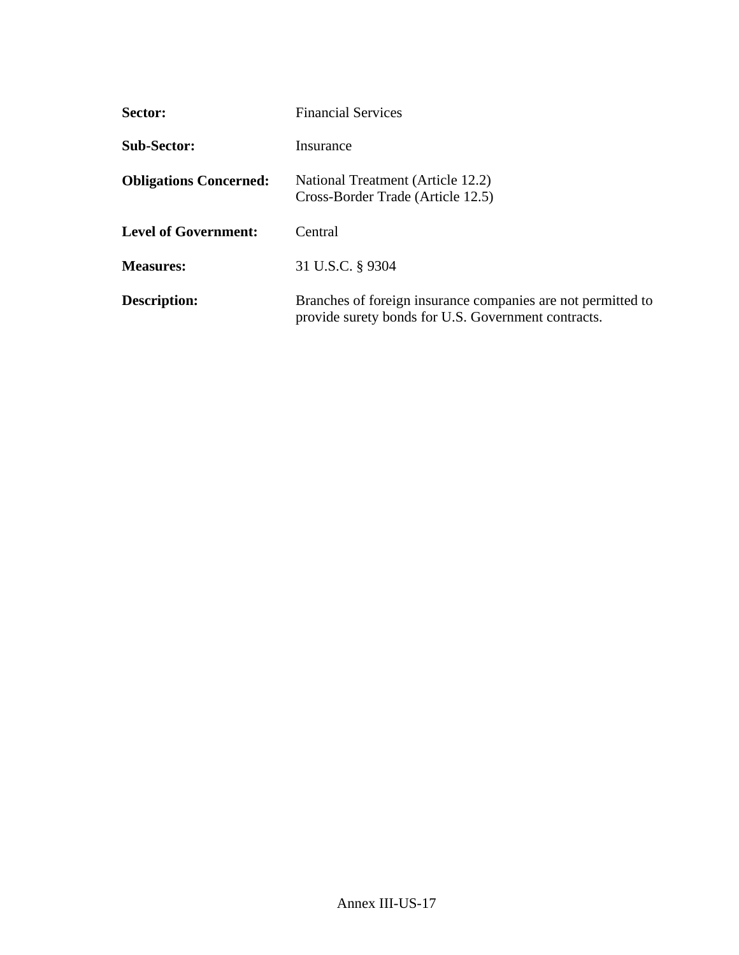| <b>Sector:</b>                | <b>Financial Services</b>                                                                                           |
|-------------------------------|---------------------------------------------------------------------------------------------------------------------|
| <b>Sub-Sector:</b>            | Insurance                                                                                                           |
| <b>Obligations Concerned:</b> | National Treatment (Article 12.2)<br>Cross-Border Trade (Article 12.5)                                              |
| <b>Level of Government:</b>   | Central                                                                                                             |
| <b>Measures:</b>              | 31 U.S.C. § 9304                                                                                                    |
| <b>Description:</b>           | Branches of foreign insurance companies are not permitted to<br>provide surety bonds for U.S. Government contracts. |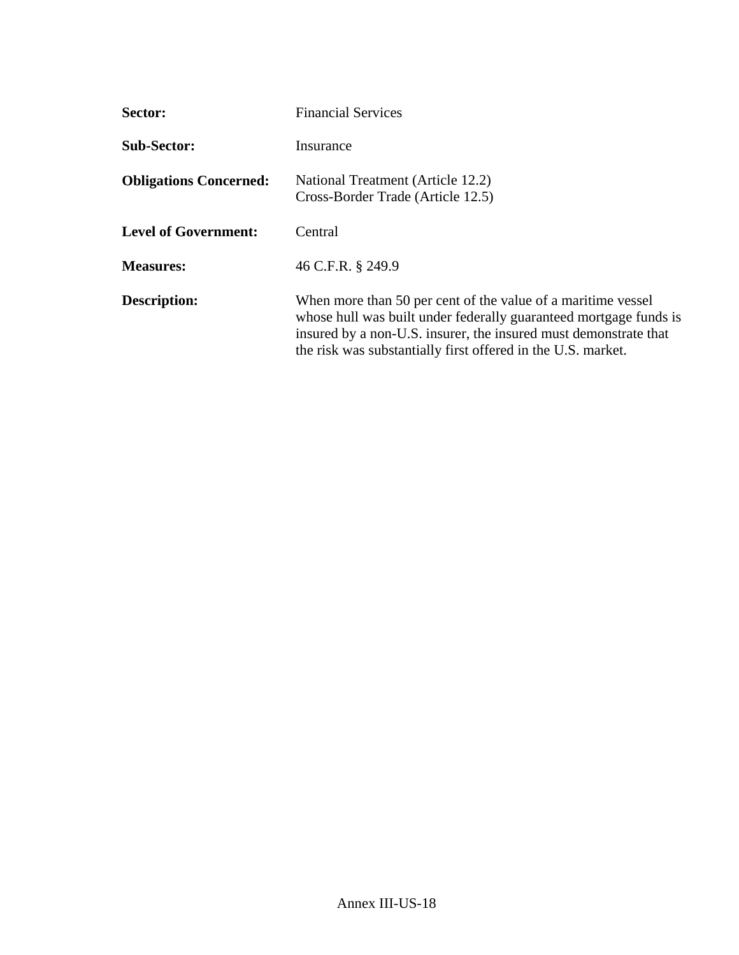| Sector:                       | <b>Financial Services</b>                                                                                                                                                                                                                                             |
|-------------------------------|-----------------------------------------------------------------------------------------------------------------------------------------------------------------------------------------------------------------------------------------------------------------------|
| <b>Sub-Sector:</b>            | Insurance                                                                                                                                                                                                                                                             |
| <b>Obligations Concerned:</b> | National Treatment (Article 12.2)<br>Cross-Border Trade (Article 12.5)                                                                                                                                                                                                |
| <b>Level of Government:</b>   | Central                                                                                                                                                                                                                                                               |
| <b>Measures:</b>              | 46 C.F.R. § 249.9                                                                                                                                                                                                                                                     |
| Description:                  | When more than 50 per cent of the value of a maritime vessel<br>whose hull was built under federally guaranteed mortgage funds is<br>insured by a non-U.S. insurer, the insured must demonstrate that<br>the risk was substantially first offered in the U.S. market. |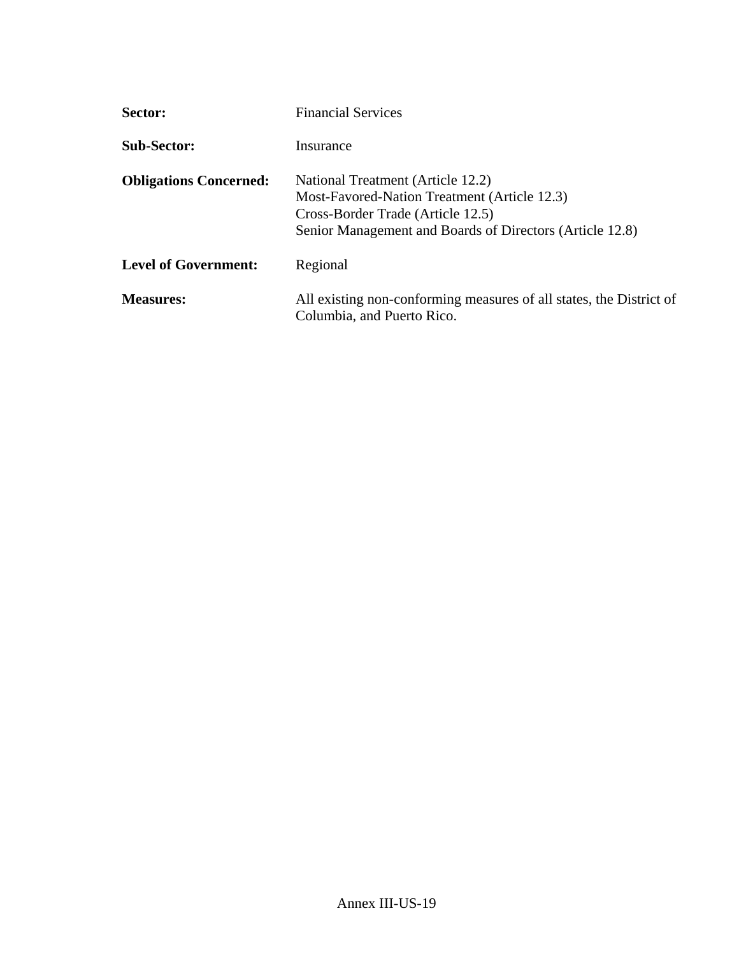| Sector:                       | <b>Financial Services</b>                                                                                                                                                          |
|-------------------------------|------------------------------------------------------------------------------------------------------------------------------------------------------------------------------------|
| <b>Sub-Sector:</b>            | Insurance                                                                                                                                                                          |
| <b>Obligations Concerned:</b> | National Treatment (Article 12.2)<br>Most-Favored-Nation Treatment (Article 12.3)<br>Cross-Border Trade (Article 12.5)<br>Senior Management and Boards of Directors (Article 12.8) |
| <b>Level of Government:</b>   | Regional                                                                                                                                                                           |
| <b>Measures:</b>              | All existing non-conforming measures of all states, the District of<br>Columbia, and Puerto Rico.                                                                                  |